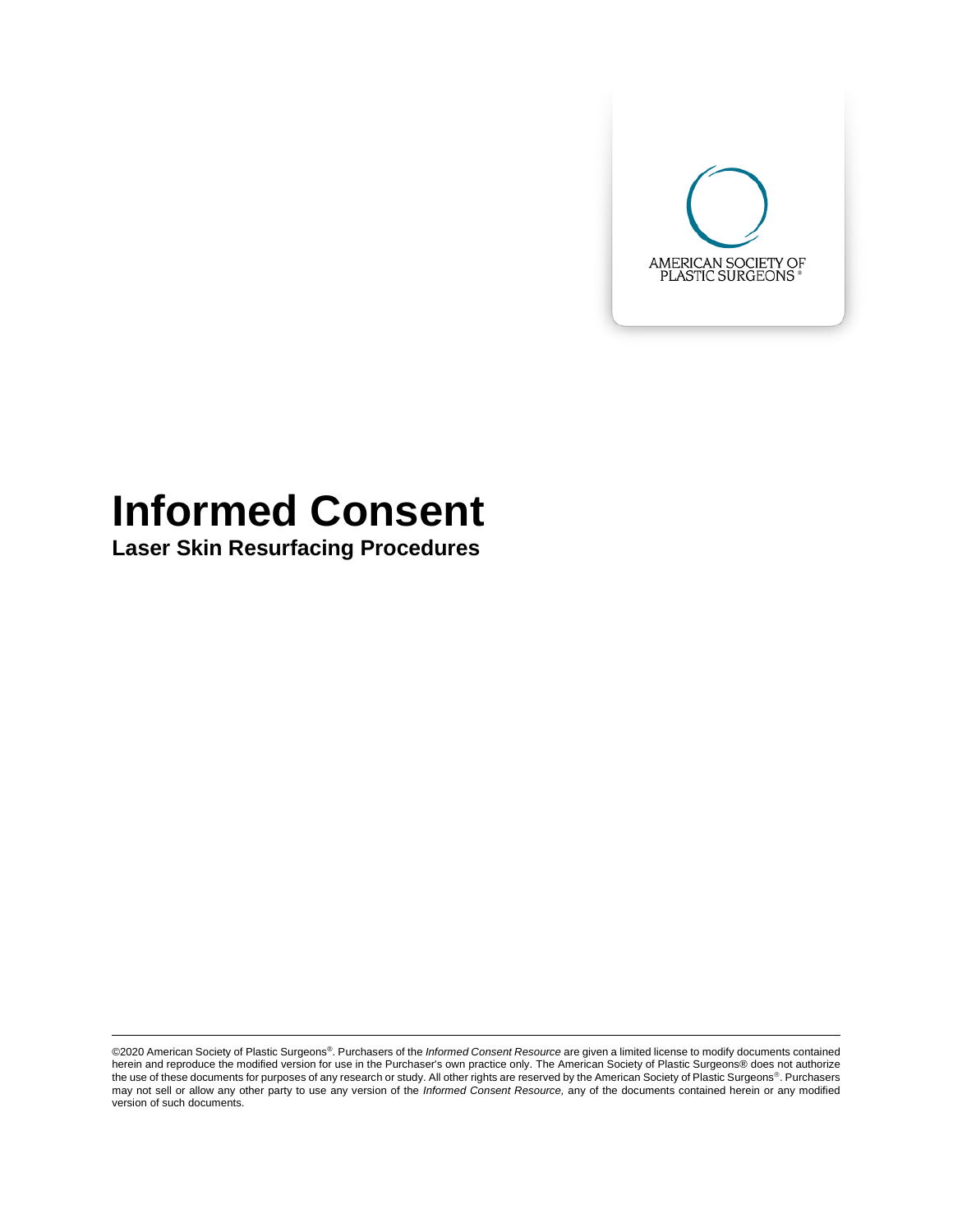

# **Informed Consent**

**Laser Skin Resurfacing Procedures** 

©2020 American Society of Plastic Surgeons®. Purchasers of the *Informed Consent Resource* are given a limited license to modify documents contained herein and reproduce the modified version for use in the Purchaser's own practice only. The American Society of Plastic Surgeons® does not authorize the use of these documents for purposes of any research or study. All other rights are reserved by the American Society of Plastic Surgeons®. Purchasers may not sell or allow any other party to use any version of the *Informed Consent Resource,* any of the documents contained herein or any modified version of such documents.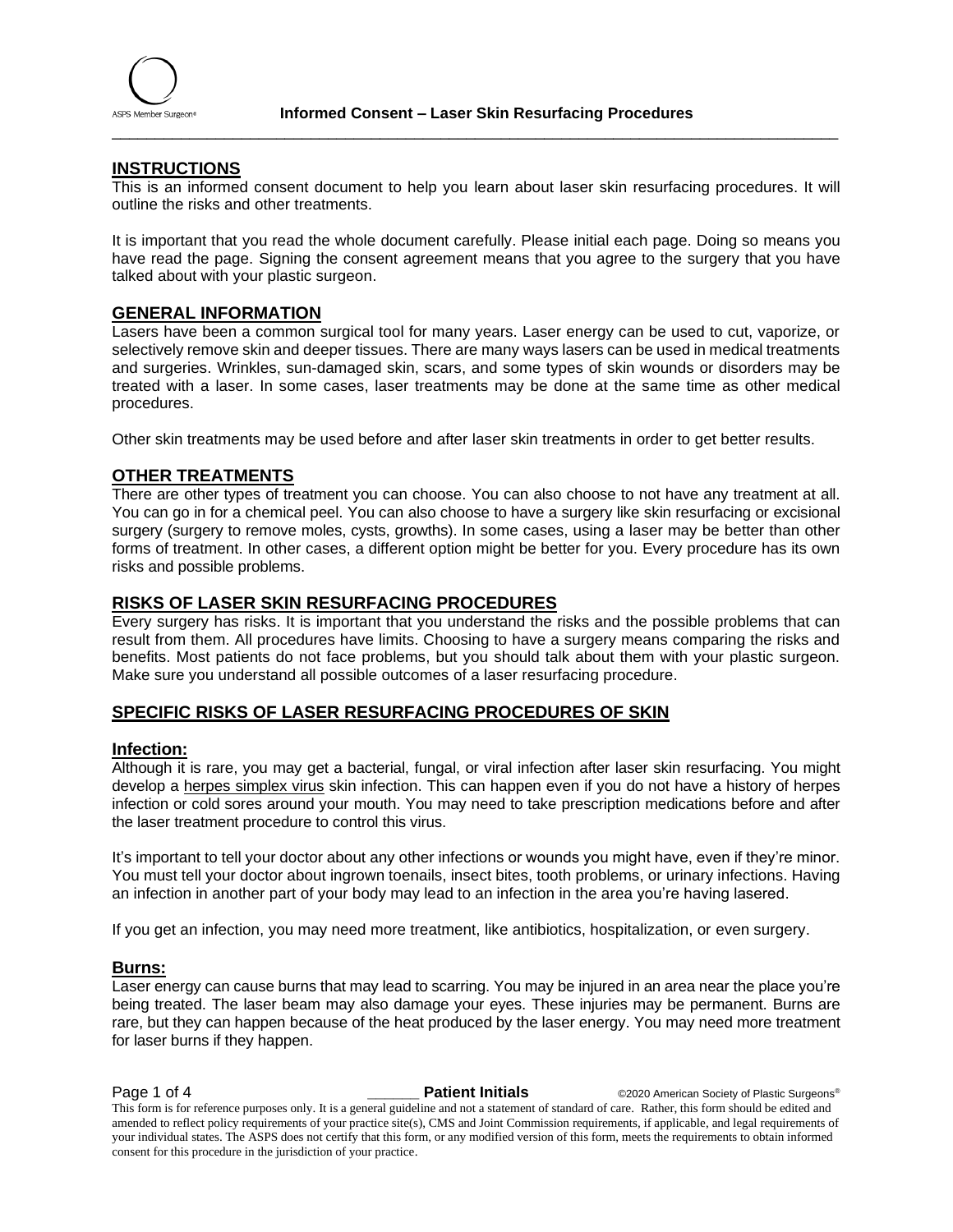

\_\_\_\_\_\_\_\_\_\_\_\_\_\_\_\_\_\_\_\_\_\_\_\_\_\_\_\_\_\_\_\_\_\_\_\_\_\_\_\_\_\_\_\_\_\_\_\_\_\_\_\_\_\_\_\_\_\_\_\_\_\_\_\_\_\_\_\_\_\_\_\_\_\_\_\_\_\_\_\_\_\_\_\_

#### **INSTRUCTIONS**

This is an informed consent document to help you learn about laser skin resurfacing procedures. It will outline the risks and other treatments.

It is important that you read the whole document carefully. Please initial each page. Doing so means you have read the page. Signing the consent agreement means that you agree to the surgery that you have talked about with your plastic surgeon.

#### **GENERAL INFORMATION**

Lasers have been a common surgical tool for many years. Laser energy can be used to cut, vaporize, or selectively remove skin and deeper tissues. There are many ways lasers can be used in medical treatments and surgeries. Wrinkles, sun-damaged skin, scars, and some types of skin wounds or disorders may be treated with a laser. In some cases, laser treatments may be done at the same time as other medical procedures.

Other skin treatments may be used before and after laser skin treatments in order to get better results.

#### **OTHER TREATMENTS**

There are other types of treatment you can choose. You can also choose to not have any treatment at all. You can go in for a chemical peel. You can also choose to have a surgery like skin resurfacing or excisional surgery (surgery to remove moles, cysts, growths). In some cases, using a laser may be better than other forms of treatment. In other cases, a different option might be better for you. Every procedure has its own risks and possible problems.

#### **RISKS OF LASER SKIN RESURFACING PROCEDURES**

Every surgery has risks. It is important that you understand the risks and the possible problems that can result from them. All procedures have limits. Choosing to have a surgery means comparing the risks and benefits. Most patients do not face problems, but you should talk about them with your plastic surgeon. Make sure you understand all possible outcomes of a laser resurfacing procedure.

#### **SPECIFIC RISKS OF LASER RESURFACING PROCEDURES OF SKIN**

#### **Infection:**

Although it is rare, you may get a bacterial, fungal, or viral infection after laser skin resurfacing. You might develop a herpes simplex virus skin infection. This can happen even if you do not have a history of herpes infection or cold sores around your mouth. You may need to take prescription medications before and after the laser treatment procedure to control this virus.

It's important to tell your doctor about any other infections or wounds you might have, even if they're minor. You must tell your doctor about ingrown toenails, insect bites, tooth problems, or urinary infections. Having an infection in another part of your body may lead to an infection in the area you're having lasered.

If you get an infection, you may need more treatment, like antibiotics, hospitalization, or even surgery.

#### **Burns:**

Laser energy can cause burns that may lead to scarring. You may be injured in an area near the place you're being treated. The laser beam may also damage your eyes. These injuries may be permanent. Burns are rare, but they can happen because of the heat produced by the laser energy. You may need more treatment for laser burns if they happen.

**Page 1 of 4 Patient Initials**  $\bullet$  **Patient Initials**  $\bullet$  @2020 American Society of Plastic Surgeons® This form is for reference purposes only. It is a general guideline and not a statement of standard of care. Rather, this form should be edited and amended to reflect policy requirements of your practice site(s), CMS and Joint Commission requirements, if applicable, and legal requirements of your individual states. The ASPS does not certify that this form, or any modified version of this form, meets the requirements to obtain informed consent for this procedure in the jurisdiction of your practice.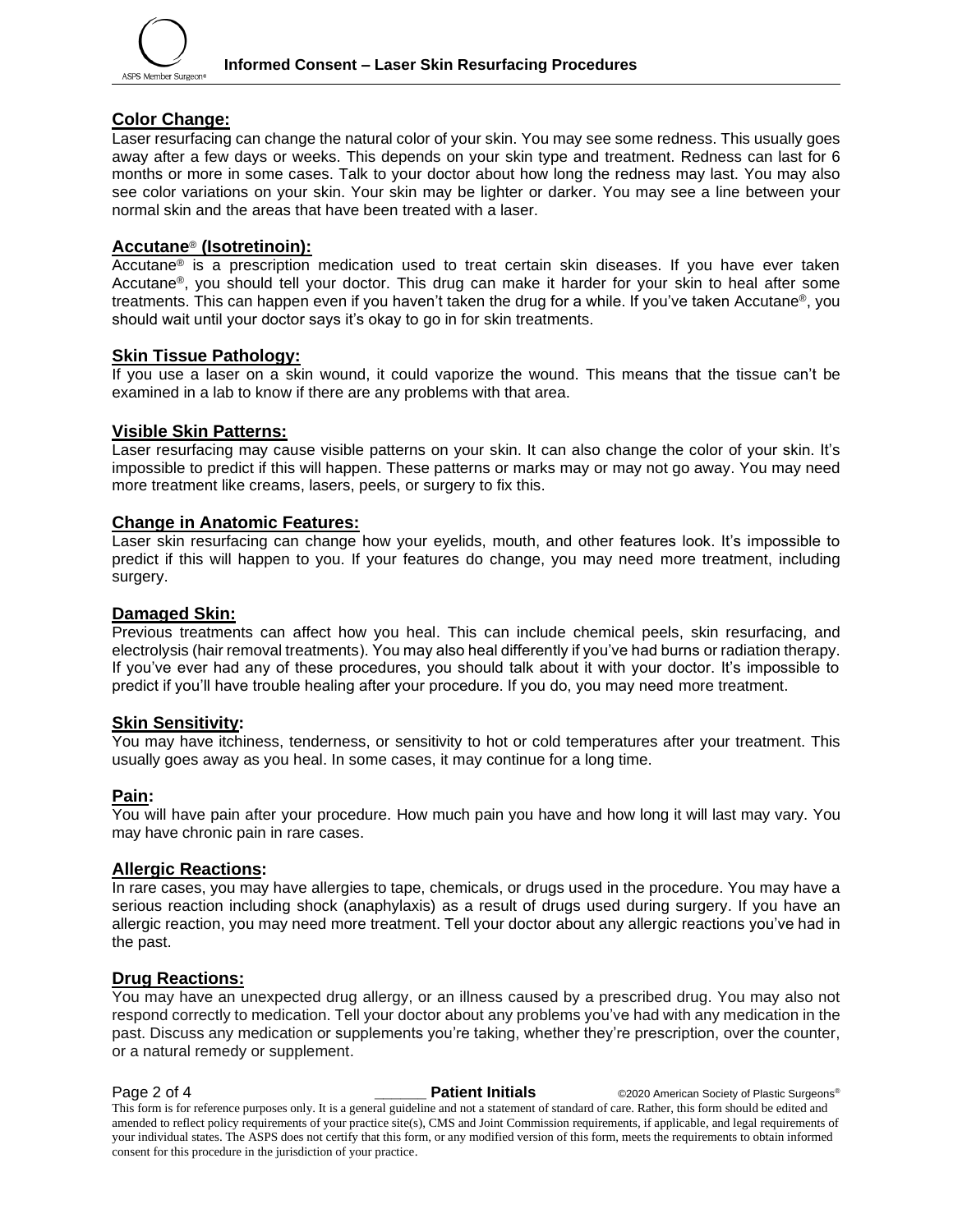

#### **Color Change:**

Laser resurfacing can change the natural color of your skin. You may see some redness. This usually goes away after a few days or weeks. This depends on your skin type and treatment. Redness can last for 6 months or more in some cases. Talk to your doctor about how long the redness may last. You may also see color variations on your skin. Your skin may be lighter or darker. You may see a line between your normal skin and the areas that have been treated with a laser.

#### **Accutane**® **(Isotretinoin):**

Accutane<sup>®</sup> is a prescription medication used to treat certain skin diseases. If you have ever taken Accutane®, you should tell your doctor. This drug can make it harder for your skin to heal after some treatments. This can happen even if you haven't taken the drug for a while. If you've taken Accutane®, you should wait until your doctor says it's okay to go in for skin treatments.

#### **Skin Tissue Pathology:**

If you use a laser on a skin wound, it could vaporize the wound. This means that the tissue can't be examined in a lab to know if there are any problems with that area.

#### **Visible Skin Patterns:**

Laser resurfacing may cause visible patterns on your skin. It can also change the color of your skin. It's impossible to predict if this will happen. These patterns or marks may or may not go away. You may need more treatment like creams, lasers, peels, or surgery to fix this.

#### **Change in Anatomic Features:**

Laser skin resurfacing can change how your eyelids, mouth, and other features look. It's impossible to predict if this will happen to you. If your features do change, you may need more treatment, including surgery.

#### **Damaged Skin:**

Previous treatments can affect how you heal. This can include chemical peels, skin resurfacing, and electrolysis (hair removal treatments). You may also heal differently if you've had burns or radiation therapy. If you've ever had any of these procedures, you should talk about it with your doctor. It's impossible to predict if you'll have trouble healing after your procedure. If you do, you may need more treatment.

## **Skin Sensitivity:**

You may have itchiness, tenderness, or sensitivity to hot or cold temperatures after your treatment. This usually goes away as you heal. In some cases, it may continue for a long time.

#### **Pain:**

You will have pain after your procedure. How much pain you have and how long it will last may vary. You may have chronic pain in rare cases.

#### **Allergic Reactions:**

In rare cases, you may have allergies to tape, chemicals, or drugs used in the procedure. You may have a serious reaction including shock (anaphylaxis) as a result of drugs used during surgery. If you have an allergic reaction, you may need more treatment. Tell your doctor about any allergic reactions you've had in the past.

#### **Drug Reactions:**

You may have an unexpected drug allergy, or an illness caused by a prescribed drug. You may also not respond correctly to medication. Tell your doctor about any problems you've had with any medication in the past. Discuss any medication or supplements you're taking, whether they're prescription, over the counter, or a natural remedy or supplement.

**Page 2 of 4 Patient Initials COVID-2020** American Society of Plastic Surgeons® This form is for reference purposes only. It is a general guideline and not a statement of standard of care. Rather, this form should be edited and amended to reflect policy requirements of your practice site(s), CMS and Joint Commission requirements, if applicable, and legal requirements of your individual states. The ASPS does not certify that this form, or any modified version of this form, meets the requirements to obtain informed consent for this procedure in the jurisdiction of your practice.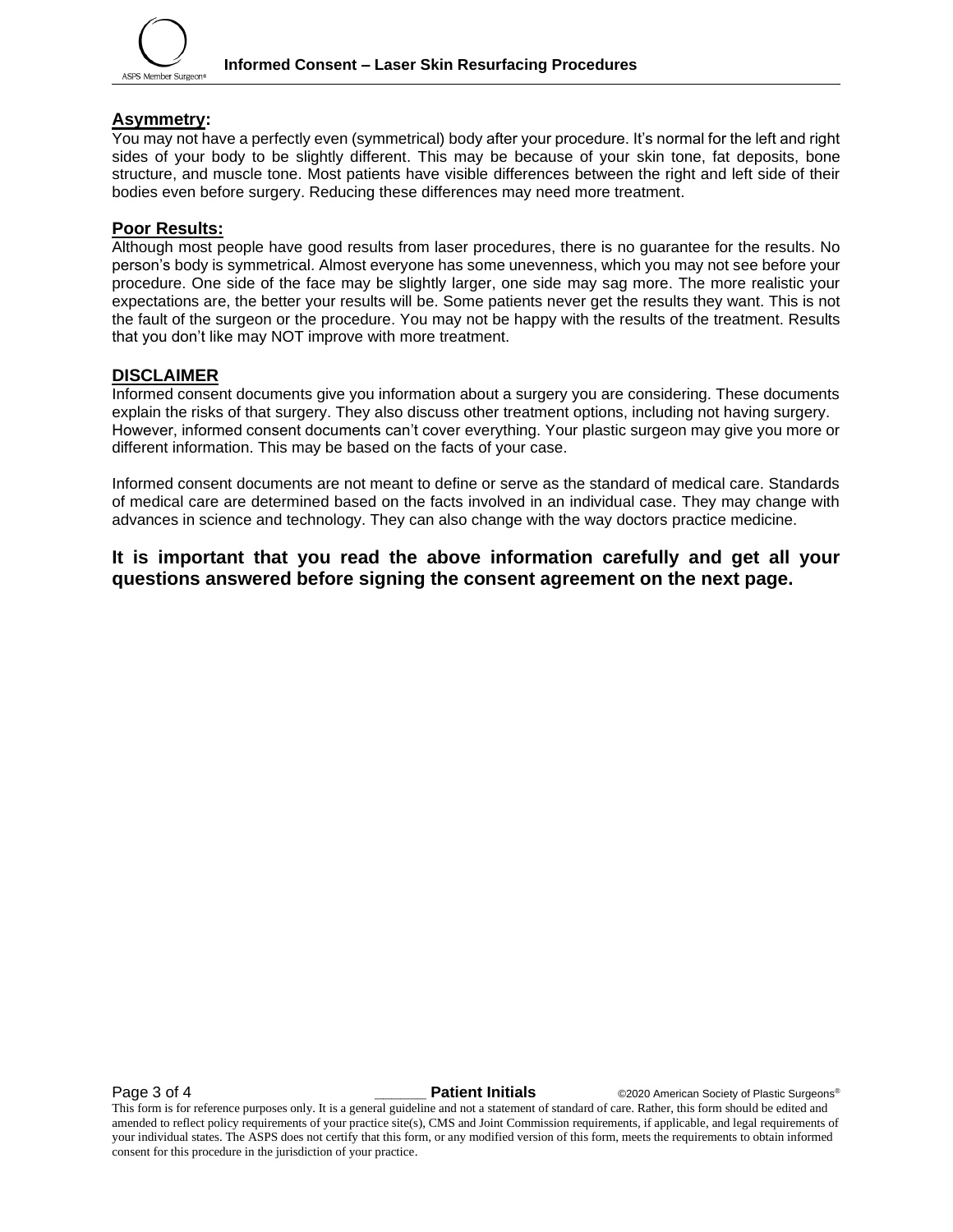

#### **Asymmetry:**

You may not have a perfectly even (symmetrical) body after your procedure. It's normal for the left and right sides of your body to be slightly different. This may be because of your skin tone, fat deposits, bone structure, and muscle tone. Most patients have visible differences between the right and left side of their bodies even before surgery. Reducing these differences may need more treatment.

#### **Poor Results:**

Although most people have good results from laser procedures, there is no guarantee for the results. No person's body is symmetrical. Almost everyone has some unevenness, which you may not see before your procedure. One side of the face may be slightly larger, one side may sag more. The more realistic your expectations are, the better your results will be. Some patients never get the results they want. This is not the fault of the surgeon or the procedure. You may not be happy with the results of the treatment. Results that you don't like may NOT improve with more treatment.

#### **DISCLAIMER**

Informed consent documents give you information about a surgery you are considering. These documents explain the risks of that surgery. They also discuss other treatment options, including not having surgery. However, informed consent documents can't cover everything. Your plastic surgeon may give you more or different information. This may be based on the facts of your case.

Informed consent documents are not meant to define or serve as the standard of medical care. Standards of medical care are determined based on the facts involved in an individual case. They may change with advances in science and technology. They can also change with the way doctors practice medicine.

### **It is important that you read the above information carefully and get all your questions answered before signing the consent agreement on the next page.**

**Page 3 of 4 Patient Initials COVID-2020** American Society of Plastic Surgeons®

This form is for reference purposes only. It is a general guideline and not a statement of standard of care. Rather, this form should be edited and amended to reflect policy requirements of your practice site(s), CMS and Joint Commission requirements, if applicable, and legal requirements of your individual states. The ASPS does not certify that this form, or any modified version of this form, meets the requirements to obtain informed consent for this procedure in the jurisdiction of your practice.